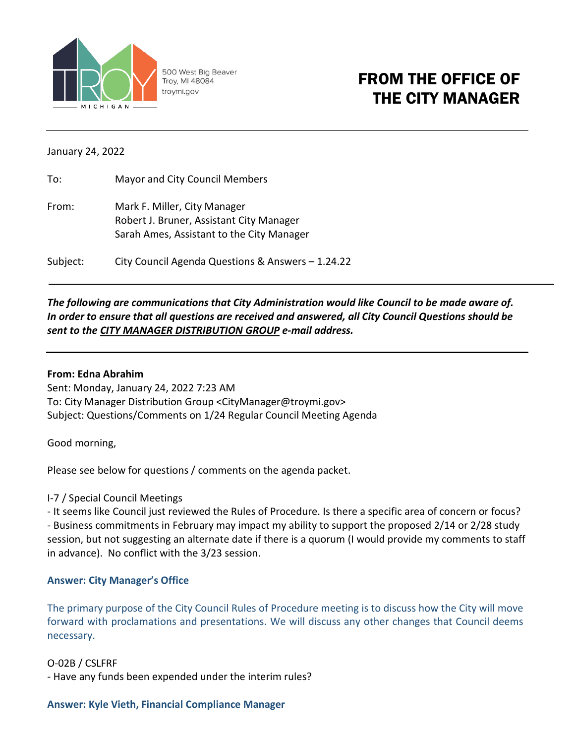

500 West Big Beaver Troy, MI 48084 troymi.gov

# FROM THE OFFICE OF THE CITY MANAGER

January 24, 2022

| To:      | Mayor and City Council Members                    |
|----------|---------------------------------------------------|
| From:    | Mark F. Miller, City Manager                      |
|          | Robert J. Bruner, Assistant City Manager          |
|          | Sarah Ames, Assistant to the City Manager         |
| Subject: | City Council Agenda Questions & Answers - 1.24.22 |

## *The following are communications that City Administration would like Council to be made aware of. In order to ensure that all questions are received and answered, all City Council Questions should be sent to the CITY MANAGER DISTRIBUTION GROUP e-mail address.*

#### **From: Edna Abrahim**

Sent: Monday, January 24, 2022 7:23 AM To: City Manager Distribution Group <CityManager@troymi.gov> Subject: Questions/Comments on 1/24 Regular Council Meeting Agenda

Good morning,

Please see below for questions / comments on the agenda packet.

## I-7 / Special Council Meetings

- It seems like Council just reviewed the Rules of Procedure. Is there a specific area of concern or focus? - Business commitments in February may impact my ability to support the proposed 2/14 or 2/28 study session, but not suggesting an alternate date if there is a quorum (I would provide my comments to staff in advance). No conflict with the 3/23 session.

## **Answer: City Manager's Office**

The primary purpose of the City Council Rules of Procedure meeting is to discuss how the City will move forward with proclamations and presentations. We will discuss any other changes that Council deems necessary.

## O-02B / CSLFRF

- Have any funds been expended under the interim rules?

#### **Answer: Kyle Vieth, Financial Compliance Manager**